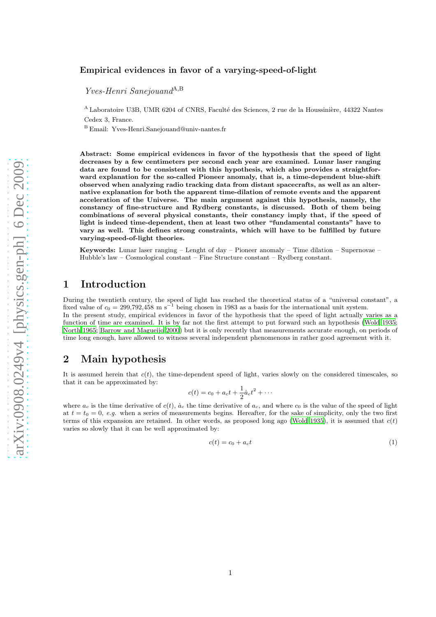#### Empirical evidences in favor of a varying-speed-of-light

Yves-Henri Sanejouand<sup>A,B</sup>

<sup>A</sup> Laboratoire U3B, UMR 6204 of CNRS, Faculté des Sciences, 2 rue de la Houssinière, 44322 Nantes Cedex 3, France.

<sup>B</sup> Email: Yves-Henri.Sanejouand@univ-nantes.fr

Abstract: Some empirical evidences in favor of the hypothesis that the speed of light decreases by a few centimeters per second each year are examined. Lunar laser ranging data are found to be consistent with this hypothesis, which also provides a straightforward explanation for the so-called Pioneer anomaly, that is, a time-dependent blue-shift observed when analyzing radio tracking data from distant spacecrafts, as well as an alternative explanation for both the apparent time-dilation of remote events and the apparent acceleration of the Universe. The main argument against this hypothesis, namely, the constancy of fine-structure and Rydberg constants, is discussed. Both of them being combinations of several physical constants, their constancy imply that, if the speed of light is indeed time-dependent, then at least two other "fundamental constants" have to vary as well. This defines strong constraints, which will have to be fulfilled by future varying-speed-of-light theories.

Keywords: Lunar laser ranging – Lenght of day – Pioneer anomaly – Time dilation – Supernovae – Hubble's law – Cosmological constant – Fine Structure constant – Rydberg constant.

# 1 Introduction

During the twentieth century, the speed of light has reached the theoretical status of a "universal constant", a fixed value of  $c_0 = 299,792,458 \text{ m s}^{-1}$  being chosen in 1983 as a basis for the international unit system. In the present study, empirical evidences in favor of the hypothesis that the speed of light actually varies as a function of time are examined. It is by far not the first attempt to put forward such an hypothesis [\(Wold 1935;](#page-8-0) [North 1965](#page-7-0); [Barrow and Magueijo 2000](#page-6-0)) but it is only recently that measurements accurate enough, on periods of time long enough, have allowed to witness several independent phenomenons in rather good agreement with it.

### 2 Main hypothesis

It is assumed herein that  $c(t)$ , the time-dependent speed of light, varies slowly on the considered timescales, so that it can be approximated by:

$$
c(t) = c_0 + a_c t + \frac{1}{2} \dot{a}_c t^2 + \cdots
$$

where  $a_c$  is the time derivative of  $c(t)$ ,  $\dot{a}_c$ , the time derivative of  $a_c$ , and where  $c_0$  is the value of the speed of light at  $t = t_0 = 0$ , *e.g.* when a series of measurements begins. Hereafter, for the sake of simplicity, only the two first terms of this expansion are retained. In other words, as proposed long ago [\(Wold 1935](#page-8-0)), it is assumed that  $c(t)$ varies so slowly that it can be well approximated by:

<span id="page-0-0"></span>
$$
c(t) = c_0 + a_c t \tag{1}
$$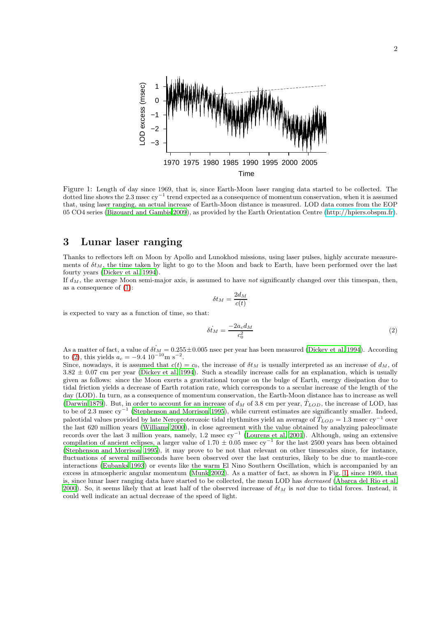

<span id="page-1-1"></span>Figure 1: Length of day since 1969, that is, since Earth-Moon laser ranging data started to be collected. The dotted line shows the 2.3 msec cy<sup>−</sup><sup>1</sup> trend expected as a consequence of momentum conservation, when it is assumed that, using laser ranging, an actual increase of Earth-Moon distance is measured. LOD data comes from the EOP 05 CO4 series [\(Bizouard and Gambis 2009\)](#page-7-1), as provided by the Earth Orientation Centre [\(http://hpiers.obspm.fr\)](http://hpiers.obspm.fr).

#### <span id="page-1-2"></span>3 Lunar laser ranging

Thanks to reflectors left on Moon by Apollo and Lunokhod missions, using laser pulses, highly accurate measurements of  $\delta t_M$ , the time taken by light to go to the Moon and back to Earth, have been performed over the last fourty years [\(Dickey et al. 1994\)](#page-7-2).

If  $d_M$ , the average Moon semi-major axis, is assumed to have *not* significantly changed over this timespan, then, as a consequence of [\(1\)](#page-0-0):

$$
\delta t_M = \frac{2d_M}{c(t)}
$$

is expected to vary as a function of time, so that:

<span id="page-1-0"></span>
$$
\delta t_M = \frac{-2a_c d_M}{c_0^2} \tag{2}
$$

As a matter of fact, a value of  $\delta t_M = 0.255 \pm 0.005$  nsec per year has been measured [\(Dickey et al. 1994\)](#page-7-2). According to [\(2\)](#page-1-0), this yields  $a_c = -9.4 \, 10^{-10} \text{m s}^{-2}$ .

Since, nowadays, it is assumed that  $c(t) = c_0$ , the increase of  $\delta t_M$  is usually interpreted as an increase of  $d_M$ , of  $3.82 \pm 0.07$  cm per year [\(Dickey et al. 1994](#page-7-2)). Such a steadily increase calls for an explanation, which is usually given as follows: since the Moon exerts a gravitational torque on the bulge of Earth, energy dissipation due to tidal friction yields a decrease of Earth rotation rate, which corresponds to a secular increase of the length of the day (LOD). In turn, as a consequence of momentum conservation, the Earth-Moon distance has to increase as well [\(Darwin 1879](#page-7-3)). But, in order to account for an increase of  $d<sub>M</sub>$  of 3.8 cm per year,  $T<sub>LOD</sub>$ , the increase of LOD, has to be of 2.3 msec cy<sup>−</sup><sup>1</sup> [\(Stephenson and Morrison 1995](#page-8-1)), while current estimates are significantly smaller. Indeed, paleotidal values provided by late Neroproterozoic tidal rhythmites yield an average of  $T_{LOD} = 1.3$  msec cy<sup>-1</sup> over the last 620 million years [\(Williams 2000](#page-8-2)), in close agreement with the value obtained by analyzing paleoclimate records over the last 3 million years, namely, 1.2 msec cy<sup>−</sup><sup>1</sup> [\(Lourens et al. 2001](#page-7-4)). Although, using an extensive compilation of ancient eclipses, a larger value of  $1.70 \pm 0.05$  msec cy<sup>-1</sup> for the last 2500 years has been obtained [\(Stephenson and Morrison 1995](#page-8-1)), it may prove to be not that relevant on other timescales since, for instance, fluctuations of several milliseconds have been observed over the last centuries, likely to be due to mantle-core interactions [\(Eubanks 1993\)](#page-7-5) or events like the warm El Nino Southern Oscillation, which is accompanied by an excess in atmospheric angular momentum [\(Munk 2002](#page-7-6)). As a matter of fact, as shown in Fig. [1,](#page-1-1) since 1969, that is, since lunar laser ranging data have started to be collected, the mean LOD has *decreased* [\(Abarca del Rio et al.](#page-6-1) [2000](#page-6-1)). So, it seems likely that at least half of the observed increase of  $\delta t_M$  is *not* due to tidal forces. Instead, it could well indicate an actual decrease of the speed of light.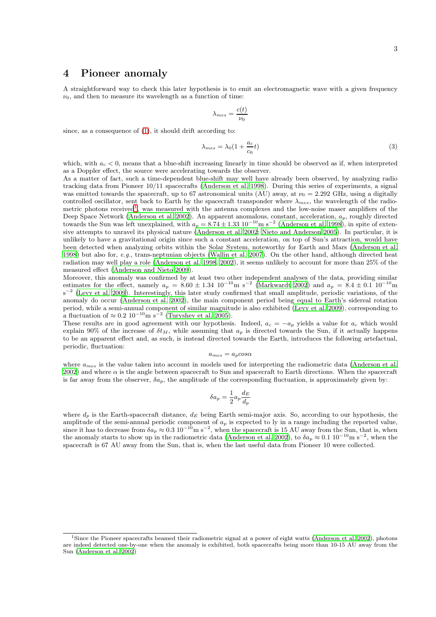## 4 Pioneer anomaly

A straightforward way to check this later hypothesis is to emit an electromagnetic wave with a given frequency  $\nu_0$ , and then to measure its wavelength as a function of time:

$$
\lambda_{mes} = \frac{c(t)}{\nu_0}
$$

since, as a consequence of [\(1\)](#page-0-0), it should drift according to:

$$
\lambda_{mes} = \lambda_0 (1 + \frac{a_c}{c_0} t) \tag{3}
$$

which, with  $a_c < 0$ , means that a blue-shift increasing linearly in time should be observed as if, when interpreted as a Doppler effect, the source were accelerating towards the observer.

As a matter of fact, such a time-dependent blue-shift may well have already been observed, by analyzing radio tracking data from Pioneer 10/11 spacecrafts [\(Anderson et al. 1998](#page-6-2)). During this series of experiments, a signal was emitted towards the spacecraft, up to 67 astronomical units (AU) away, at  $\nu_0 = 2.292$  GHz, using a digitally controlled oscillator, sent back to Earth by the spacecraft transponder where  $\lambda_{mes}$ , the wavelength of the radio-metric photons received<sup>[1](#page-2-0)</sup>, was measured with the antenna complexes and the low-noise maser amplifiers of the Deep Space Network [\(Anderson et al. 2002](#page-6-3)). An apparent anomalous, constant, acceleration,  $a_p$ , roughly directed towards the Sun was left unexplained, with  $a_p = 8.74 \pm 1.33 \times 10^{-10}$  m s<sup>-2</sup> [\(Anderson et al. 1998](#page-6-2)), in spi sive attempts to unravel its physical nature [\(Anderson et al. 2002](#page-6-3); [Nieto and Anderson 2005\)](#page-7-7). In particular, it is unlikely to have a gravitational origin since such a constant acceleration, on top of Sun's attraction, would have been detected when analyzing orbits within the Solar System, noteworthy for Earth and Mars [\(Anderson et al.](#page-6-2) [1998](#page-6-2)) but also for, *e.g.*, trans-neptunian objects [\(Wallin et al. 2007](#page-8-3)). On the other hand, although directed heat radiation may well play a role [\(Anderson et al. 1998,](#page-6-2) [2002\)](#page-6-3), it seems unlikely to account for more than 25% of the measured effect [\(Anderson and Nieto 2009](#page-6-4)).

Moreover, this anomaly was confirmed by at least two other independent analyses of the data, providing similar estimates for the effect, namely  $a_p = 8.60 \pm 1.34 \cdot 10^{-10}$ m s<sup>-2</sup> [\(Markwardt 2002](#page-7-8)) and  $a_p = 8.4 \pm 0.1 \cdot 10^{-10}$ m s<sup>-2</sup> [\(Levy et al. 2009](#page-7-9)). Interestingly, this later study confirmed that small amplitude, periodic variations, of the anomaly do occur [\(Anderson et al. 2002](#page-6-3)), the main component period being equal to Earth's sidereal rotation period, while a semi-annual component of similar magnitude is also exhibited [\(Levy et al. 2009](#page-7-9)), corresponding to a fluctuation of  $\approx 0.2 \, 10^{-10} \text{m s}^{-2}$  [\(Turyshev et al. 2005](#page-8-4)).

These results are in good agreement with our hypothesis. Indeed,  $a_c = -a_p$  yields a value for  $a_c$  which would explain 90% of the increase of  $\delta t_M$ , while assuming that  $a_p$  is directed towards the Sun, if it actually happens to be an apparent effect and, as such, is instead directed towards the Earth, introduces the following artefactual, periodic, fluctuation:

$$
a_{mes} = a_p \cos \alpha
$$

where  $a_{mes}$  is the value taken into account in models used for interpreting the radiometric data [\(Anderson et al.](#page-6-3) [2002](#page-6-3)) and where  $\alpha$  is the angle between spacecraft to Sun and spacecraft to Earth directions. When the spacecraft is far away from the observer,  $\delta a_p$ , the amplitude of the corresponding fluctuation, is approximately given by:

$$
\delta a_p = \frac{1}{2} a_p \frac{d_E}{d_p}
$$

where  $d_p$  is the Earth-spacecraft distance,  $d_E$  being Earth semi-major axis. So, according to our hypothesis, the amplitude of the semi-annual periodic component of  $a_p$  is expected to ly in a range including the reported value,<br>since it has to decrease from  $\delta a_p \approx 0.3 \, 10^{-10} \text{m s}^{-2}$ , when the spacecraft is 15 AU away from the S the anomaly starts to show up in the radiometric data [\(Anderson et al. 2002](#page-6-3)), to  $\delta a_p \approx 0.1 \times 10^{-10} \text{m s}^{-2}$ , when the spacecraft is 67 AU away from the Sun, that is, when the last useful data from Pioneer 10 were collected.

<span id="page-2-0"></span><sup>1</sup>Since the Pioneer spacecrafts beamed their radiometric signal at a power of eight watts [\(Anderson et al. 2002](#page-6-3)), photons are indeed detected one-by-one when the anomaly is exhibited, both spacecrafts being more than 10-15 AU away from the Sun [\(Anderson et al. 2002\)](#page-6-3)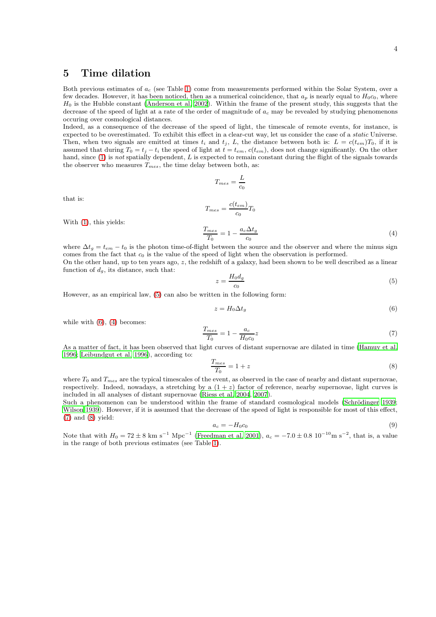## <span id="page-3-5"></span>5 Time dilation

Both previous estimates of  $a_c$  (see Table [1\)](#page-5-0) come from measurements performed within the Solar System, over a few decades. However, it has been noticed, then as a numerical coincidence, that  $a_p$  is nearly equal to  $H_0c_0$ , where  $H_0$  is the Hubble constant [\(Anderson et al. 2002](#page-6-3)). Within the frame of the present study, this suggests that the decrease of the speed of light at a rate of the order of magnitude of  $a_c$  may be revealed by studying phenomenons occuring over cosmological distances.

Indeed, as a consequence of the decrease of the speed of light, the timescale of remote events, for instance, is expected to be overestimated. To exhibit this effect in a clear-cut way, let us consider the case of a *static* Universe. Then, when two signals are emitted at times  $t_i$  and  $t_j$ , L, the distance between both is:  $L = c(t_{em})T_0$ , if it is assumed that during  $T_0 = t_i - t_i$  the speed of light at  $t = t_{em}$ ,  $c(t_{em})$ , does not change significantly. On the other hand, since [\(1\)](#page-0-0) is *not* spatially dependent, L is expected to remain constant during the flight of the signals towards the observer who measures  $T_{mes}$ , the time delay between both, as:

$$
T_{mes} = \frac{L}{c_0}
$$
  

$$
T_{mes} = \frac{c(t_{em})}{c_0} T_0
$$
  

$$
\frac{T_{mes}}{T_0} = 1 - \frac{a_c \Delta t_g}{c_0}
$$
 (4)

With [\(1\)](#page-0-0), this yields:

that is:

where  $\Delta t_g = t_{em} - t_0$  is the photon time-of-flight between the source and the observer and where the minus sign comes from the fact that  $c_0$  is the value of the speed of light when the observation is performed. On the other hand, up to ten years ago, z, the redshift of a galaxy, had been shown to be well described as a linear function of  $d_q$ , its distance, such that:

<span id="page-3-2"></span> $c_0$ 

<span id="page-3-0"></span>
$$
z = \frac{H_0 d_g}{c_0} \tag{5}
$$

However, as an empirical law, [\(5\)](#page-3-0) can also be written in the following form:

<span id="page-3-1"></span>
$$
z = H_0 \Delta t_g \tag{6}
$$

while with  $(6)$ ,  $(4)$  becomes:

<span id="page-3-3"></span>
$$
\frac{T_{mes}}{T_0} = 1 - \frac{a_c}{H_0 c_0} z \tag{7}
$$

As a matter of fact, it has been observed that light curves of distant supernovae are dilated in time [\(Hamuy et al.](#page-7-10) [1996](#page-7-10); [Leibundgut et al. 1996](#page-7-11)), according to:

<span id="page-3-4"></span>
$$
\frac{T_{mes}}{T_0} = 1 + z \tag{8}
$$

where  $T_0$  and  $T_{mes}$  are the typical timescales of the event, as observed in the case of nearby and distant supernovae, respectively. Indeed, nowadays, a stretching by a  $(1 + z)$  factor of reference, nearby supernovae, light curves is included in all analyses of distant supernovae [\(Riess et al.](#page-8-5) [2004](#page-8-5), [2007](#page-8-6)).

Such a phenomenon can be understood within the frame of standard cosmological models (Schrödinger 1939; [Wilson 1939](#page-8-8)). However, if it is assumed that the decrease of the speed of light is responsible for most of this effect, [\(7\)](#page-3-3) and [\(8\)](#page-3-4) yield:

<span id="page-3-6"></span>
$$
a_c = -H_0 c_0 \tag{9}
$$

Note that with  $H_0 = 72 \pm 8$  km s<sup>-1</sup> Mpc<sup>-1</sup> [\(Freedman et al. 2001\)](#page-7-12),  $a_c = -7.0 \pm 0.8$  10<sup>-10</sup>m s<sup>-2</sup>, that is, a value in the range of both previous estimates (see Table [1\)](#page-5-0).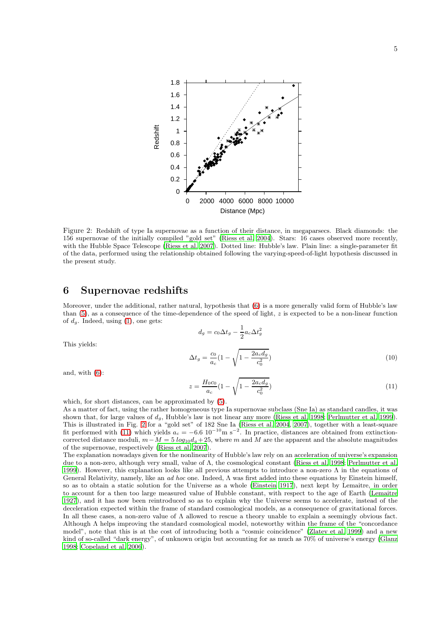

<span id="page-4-0"></span>Figure 2: Redshift of type Ia supernovae as a function of their distance, in megaparsecs. Black diamonds: the 156 supernovae of the initially compiled "gold set" [\(Riess et al. 2004\)](#page-8-5). Stars: 16 cases observed more recently, with the Hubble Space Telescope [\(Riess et al. 2007](#page-8-6)). Dotted line: Hubble's law. Plain line: a single-parameter fit of the data, performed using the relationship obtained following the varying-speed-of-light hypothesis discussed in the present study.

#### 6 Supernovae redshifts

Moreover, under the additional, rather natural, hypothesis that [\(6\)](#page-3-1) is a more generally valid form of Hubble's law than  $(5)$ , as a consequence of the time-dependence of the speed of light, z is expected to be a non-linear function of  $d_q$ . Indeed, using [\(1\)](#page-0-0), one gets:

$$
d_g = c_0 \Delta t_g - \frac{1}{2} a_c \Delta t_g^2
$$
  

$$
\Delta t_g = \frac{c_0}{a_c} (1 - \sqrt{1 - \frac{2a_c d_g}{c_0^2}})
$$
 (10)

and, with [\(6\)](#page-3-1):

This yields:

<span id="page-4-1"></span>
$$
z = \frac{H_0 c_0}{a_c} (1 - \sqrt{1 - \frac{2a_c d_g}{c_0^2}})
$$
\n(11)

which, for short distances, can be approximated by [\(5\)](#page-3-0).

As a matter of fact, using the rather homogeneous type Ia supernovae subclass (Sne Ia) as standard candles, it was shown that, for large values of  $d_q$ , Hubble's law is not linear any more [\(Riess et al. 1998;](#page-8-9) [Perlmutter et al. 1999](#page-7-13)). This is illustrated in Fig. [2](#page-4-0) for a "gold set" of 182 Sne Ia [\(Riess et al. 2004](#page-8-5), [2007](#page-8-6)), together with a least-square fit performed with [\(11\)](#page-4-1) which yields  $a_c = -6.6 \times 10^{-10} \text{m s}^{-2}$ . In practice, distances are obtained from extinctioncorrected distance moduli,  $m-M = 5 log_{10} d_q + 25$ , where m and M are the apparent and the absolute magnitudes of the supernovae, respectively [\(Riess et al. 2007](#page-8-6)).

The explanation nowadays given for the nonlinearity of Hubble's law rely on an acceleration of universe's expansion due to a non-zero, although very small, value of Λ, the cosmological constant [\(Riess et al. 1998](#page-8-9); [Perlmutter et al.](#page-7-13) [1999](#page-7-13)). However, this explanation looks like all previous attempts to introduce a non-zero Λ in the equations of General Relativity, namely, like an *ad hoc* one. Indeed, Λ was first added into these equations by Einstein himself, so as to obtain a static solution for the Universe as a whole [\(Einstein 1917\)](#page-7-14), next kept by Lemaitre, in order to account for a then too large measured value of Hubble constant, with respect to the age of Earth [\(Lemaitre](#page-7-15) [1927](#page-7-15)), and it has now been reintroduced so as to explain why the Universe seems to accelerate, instead of the deceleration expected within the frame of standard cosmological models, as a consequence of gravitational forces. In all these cases, a non-zero value of  $\Lambda$  allowed to rescue a theory unable to explain a seemingly obvious fact. Although Λ helps improving the standard cosmological model, noteworthy within the frame of the "concordance model", note that this is at the cost of introducing both a "cosmic coincidence" [\(Zlatev et al. 1999\)](#page-8-10) and a new kind of so-called "dark energy", of unknown origin but accounting for as much as 70% of universe's energy [\(Glanz](#page-7-16) [1998](#page-7-16); [Copeland et al. 2006](#page-7-17)).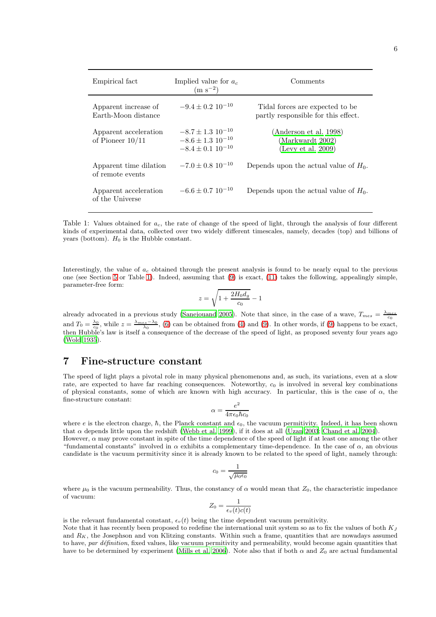| Empirical fact                              | Implied value for $a_c$<br>$(m s^{-2})$                                                    | Comments                                                               |
|---------------------------------------------|--------------------------------------------------------------------------------------------|------------------------------------------------------------------------|
| Apparent increase of<br>Earth-Moon distance | $-9.4 \pm 0.2$ 10 <sup>-10</sup>                                                           | Tidal forces are expected to be<br>partly responsible for this effect. |
| Apparent acceleration<br>of Pioneer $10/11$ | $-8.7 \pm 1.3$ 10 <sup>-10</sup><br>$-8.6 \pm 1.3$ $10^{-10}$<br>$-8.4 \pm 0.1$ $10^{-10}$ | (Anderson et al. 1998)<br>(Markwardt 2002)<br>(Levy et al. 2009)       |
| Apparent time dilation<br>of remote events  | $-7.0 \pm 0.8$ 10 <sup>-10</sup>                                                           | Depends upon the actual value of $H_0$ .                               |
| Apparent acceleration<br>of the Universe    | $-6.6 + 0.7 10^{-10}$                                                                      | Depends upon the actual value of $H_0$ .                               |

<span id="page-5-0"></span>Table 1: Values obtained for  $a_c$ , the rate of change of the speed of light, through the analysis of four different kinds of experimental data, collected over two widely different timescales, namely, decades (top) and billions of years (bottom).  $H_0$  is the Hubble constant.

Interestingly, the value of  $a_c$  obtained through the present analysis is found to be nearly equal to the previous one (see Section [5](#page-3-5) or Table [1\)](#page-5-0). Indeed, assuming that [\(9\)](#page-3-6) is exact, [\(11\)](#page-4-1) takes the following, appealingly simple, parameter-free form:

$$
z=\sqrt{1+\frac{2H_0d_g}{c_0}}-1
$$

already advocated in a previous study [\(Sanejouand 2005](#page-8-11)). Note that since, in the case of a wave,  $T_{mes} = \frac{\lambda_{mes}}{c_0}$ and  $T_0 = \frac{\lambda_0}{c_0}$ , while  $z = \frac{\lambda_{mes} - \lambda_0}{\lambda_0}$ , [\(6\)](#page-3-1) can be obtained from [\(4\)](#page-3-2) and [\(9\)](#page-3-6). In other words, if (9) happens to be exact, then Hubble's law is itself a consequence of the decrease of the speed of light, as proposed seventy four years ago [\(Wold 1935](#page-8-0)).

#### 7 Fine-structure constant

The speed of light plays a pivotal role in many physical phenomenons and, as such, its variations, even at a slow rate, are expected to have far reaching consequences. Noteworthy,  $c<sub>0</sub>$  is involved in several key combinations of physical constants, some of which are known with high accuracy. In particular, this is the case of  $\alpha$ , the fine-structure constant:

$$
\alpha = \frac{e^2}{4\pi\epsilon_0\hbar c_0}
$$

where e is the electron charge,  $\hbar$ , the Planck constant and  $\epsilon_0$ , the vacuum permitivity. Indeed, it has been shown that  $\alpha$  depends little upon the redshift [\(Webb et al. 1999](#page-8-12)), if it does at all [\(Uzan 2003;](#page-8-13) [Chand et al. 2004](#page-7-18)).

However,  $\alpha$  may prove constant in spite of the time dependence of the speed of light if at least one among the other "fundamental constants" involved in  $\alpha$  exhibits a complementary time-dependence. In the case of  $\alpha$ , an obvious candidate is the vacuum permitivity since it is already known to be related to the speed of light, namely through:

$$
c_0 = \frac{1}{\sqrt{\mu_0 \epsilon_0}}
$$

where  $\mu_0$  is the vacuum permeability. Thus, the constancy of  $\alpha$  would mean that  $Z_0$ , the characteristic impedance of vacuum:

$$
Z_0 = \frac{1}{\epsilon_v(t)c(t)}
$$

is the relevant fundamental constant,  $\epsilon_v(t)$  being the time dependent vacuum permitivity.

Note that it has recently been proposed to redefine the international unit system so as to fix the values of both  $K_J$ and  $R_K$ , the Josephson and von Klitzing constants. Within such a frame, quantities that are nowadays assumed to have, *par définition*, fixed values, like vacuum permitivity and permeability, would become again quantities that have to be determined by experiment [\(Mills et al. 2006](#page-7-19)). Note also that if both  $\alpha$  and  $Z_0$  are actual fundamental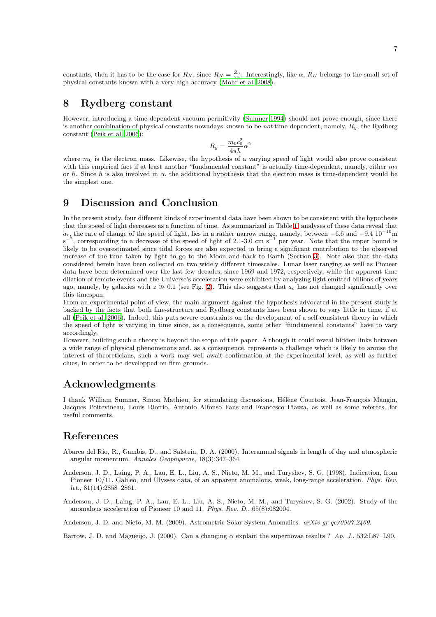constants, then it has to be the case for  $R_K$ , since  $R_K = \frac{Z_0}{2\alpha}$ . Interestingly, like  $\alpha$ ,  $R_K$  belongs to the small set of physical constants known with a very high accuracy [\(Mohr et al. 2008](#page-7-20)).

## 8 Rydberg constant

However, introducing a time dependent vacuum permitivity [\(Sumner 1994](#page-8-14)) should not prove enough, since there is another combination of physical constants nowadays known to be *not* time-dependent, namely, Ry, the Rydberg constant [\(Peik et al. 2006](#page-7-21)):

$$
R_y=\frac{m_0c_0^2}{4\pi\hbar}\alpha^2
$$

where  $m_0$  is the electron mass. Likewise, the hypothesis of a varying speed of light would also prove consistent with this empirical fact if at least another "fundamental constant" is actually time-dependent, namely, either  $m_0$ or  $\hbar$ . Since  $\hbar$  is also involved in  $\alpha$ , the additional hypothesis that the electron mass is time-dependent would be the simplest one.

## 9 Discussion and Conclusion

In the present study, four different kinds of experimental data have been shown to be consistent with the hypothesis that the speed of light decreases as a function of time. As summarized in Table [1,](#page-5-0) analyses of these data reveal that  $a_c$ , the rate of change of the speed of light, lies in a rather narrow range, namely, between -6.6 and -9.4  $10^{-10}$ m s<sup>-2</sup>, corresponding to a decrease of the speed of light of 2.1-3.0 cm s<sup>-1</sup> per year. Note that the u likely to be overestimated since tidal forces are also expected to bring a significant contribution to the observed increase of the time taken by light to go to the Moon and back to Earth (Section [3\)](#page-1-2). Note also that the data considered herein have been collected on two widely different timescales. Lunar laser ranging as well as Pioneer data have been determined over the last few decades, since 1969 and 1972, respectively, while the apparent time dilation of remote events and the Universe's acceleration were exhibited by analyzing light emitted billions of years ago, namely, by galaxies with  $z \gg 0.1$  (see Fig. [2\)](#page-4-0). This also suggests that  $a_c$  has not changed significantly over this timespan.

From an experimental point of view, the main argument against the hypothesis advocated in the present study is backed by the facts that both fine-structure and Rydberg constants have been shown to vary little in time, if at all [\(Peik et al. 2006](#page-7-21)). Indeed, this puts severe constraints on the development of a self-consistent theory in which the speed of light is varying in time since, as a consequence, some other "fundamental constants" have to vary accordingly.

However, building such a theory is beyond the scope of this paper. Although it could reveal hidden links between a wide range of physical phenomenons and, as a consequence, represents a challenge which is likely to arouse the interest of theoreticians, such a work may well await confirmation at the experimental level, as well as further clues, in order to be developped on firm grounds.

# Acknowledgments

I thank William Sumner, Simon Mathieu, for stimulating discussions, Hélène Courtois, Jean-François Mangin, Jacques Poitevineau, Louis Riofrio, Antonio Alfonso Faus and Francesco Piazza, as well as some referees, for useful comments.

# References

- <span id="page-6-1"></span>Abarca del Rio, R., Gambis, D., and Salstein, D. A. (2000). Interannual signals in length of day and atmospheric angular momentum. *Annales Geophysicae*, 18(3):347–364.
- <span id="page-6-2"></span>Anderson, J. D., Laing, P. A., Lau, E. L., Liu, A. S., Nieto, M. M., and Turyshev, S. G. (1998). Indication, from Pioneer 10/11, Galileo, and Ulysses data, of an apparent anomalous, weak, long-range acceleration. *Phys. Rev. let.*, 81(14):2858–2861.
- <span id="page-6-3"></span>Anderson, J. D., Laing, P. A., Lau, E. L., Liu, A. S., Nieto, M. M., and Turyshev, S. G. (2002). Study of the anomalous acceleration of Pioneer 10 and 11. *Phys. Rev. D.*, 65(8):082004.

<span id="page-6-4"></span>Anderson, J. D. and Nieto, M. M. (2009). Astrometric Solar-System Anomalies. *arXiv gr-qc/0907.2469*.

<span id="page-6-0"></span>Barrow, J. D. and Magueijo, J. (2000). Can a changing  $\alpha$  explain the supernovae results ? *Ap. J.*, 532:L87–L90.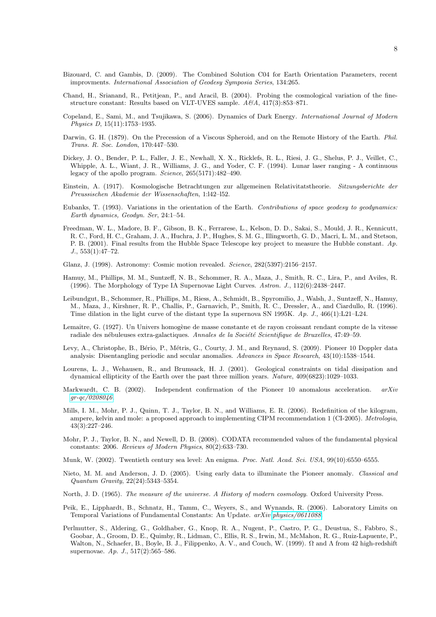- <span id="page-7-1"></span>Bizouard, C. and Gambis, D. (2009). The Combined Solution C04 for Earth Orientation Parameters, recent improvments. *International Association of Geodesy Symposia Series*, 134:265.
- <span id="page-7-18"></span>Chand, H., Srianand, R., Petitjean, P., and Aracil, B. (2004). Probing the cosmological variation of the finestructure constant: Results based on VLT-UVES sample. *A&A*, 417(3):853–871.
- <span id="page-7-17"></span>Copeland, E., Sami, M., and Tsujikawa, S. (2006). Dynamics of Dark Energy. *International Journal of Modern Physics D*, 15(11):1753–1935.
- <span id="page-7-3"></span>Darwin, G. H. (1879). On the Precession of a Viscous Spheroid, and on the Remote History of the Earth. *Phil. Trans. R. Soc. London*, 170:447–530.
- <span id="page-7-2"></span>Dickey, J. O., Bender, P. L., Faller, J. E., Newhall, X. X., Ricklefs, R. L., Riesi, J. G., Shelus, P. J., Veillet, C., Whipple, A. L., Wiant, J. R., Williams, J. G., and Yoder, C. F. (1994). Lunar laser ranging - A continuous legacy of the apollo program. *Science*, 265(5171):482–490.
- <span id="page-7-14"></span>Einstein, A. (1917). Kosmologische Betrachtungen zur allgemeinen Relativitatstheorie. *Sitzungsberichte der Preussischen Akademie der Wissenschaften*, 1:l42–l52.
- <span id="page-7-5"></span>Eubanks, T. (1993). Variations in the orientation of the Earth. *Contributions of space geodesy to geodynamics: Earth dynamics, Geodyn. Ser*, 24:1–54.
- <span id="page-7-12"></span>Freedman, W. L., Madore, B. F., Gibson, B. K., Ferrarese, L., Kelson, D. D., Sakai, S., Mould, J. R., Kennicutt, R. C., Ford, H. C., Graham, J. A., Huchra, J. P., Hughes, S. M. G., Illingworth, G. D., Macri, L. M., and Stetson, P. B. (2001). Final results from the Hubble Space Telescope key project to measure the Hubble constant. *Ap. J.*, 553(1):47–72.
- <span id="page-7-16"></span>Glanz, J. (1998). Astronomy: Cosmic motion revealed. *Science*, 282(5397):2156–2157.
- <span id="page-7-10"></span>Hamuy, M., Phillips, M. M., Suntzeff, N. B., Schommer, R. A., Maza, J., Smith, R. C., Lira, P., and Aviles, R. (1996). The Morphology of Type IA Supernovae Light Curves. *Astron. J.*, 112(6):2438–2447.
- <span id="page-7-11"></span>Leibundgut, B., Schommer, R., Phillips, M., Riess, A., Schmidt, B., Spyromilio, J., Walsh, J., Suntzeff, N., Hamuy, M., Maza, J., Kirshner, R. P., Challis, P., Garnavich, P., Smith, R. C., Dressler, A., and Ciardullo, R. (1996). Time dilation in the light curve of the distant type Ia supernova SN 1995K. *Ap. J.*, 466(1):L21–L24.
- <span id="page-7-15"></span>Lemaitre, G. (1927). Un Univers homogène de masse constante et de rayon croissant rendant compte de la vitesse radiale des nébuleuses extra-galactiques. *Annales de la Société Scientifique de Bruxelles*, 47:49–59.
- <span id="page-7-9"></span>Levy, A., Christophe, B., Bério, P., Métris, G., Courty, J. M., and Reynaud, S. (2009). Pioneer 10 Doppler data analysis: Disentangling periodic and secular anomalies. *Advances in Space Research*, 43(10):1538–1544.
- <span id="page-7-4"></span>Lourens, L. J., Wehausen, R., and Brumsack, H. J. (2001). Geological constraints on tidal dissipation and dynamical ellipticity of the Earth over the past three million years. *Nature*, 409(6823):1029–1033.
- <span id="page-7-8"></span>Markwardt, C. B. (2002). Independent confirmation of the Pioneer 10 anomalous acceleration. *arXiv [gr-qc/0208046](http://arxiv.org/abs/gr-qc/0208046)*.
- <span id="page-7-19"></span>Mills, I. M., Mohr, P. J., Quinn, T. J., Taylor, B. N., and Williams, E. R. (2006). Redefinition of the kilogram, ampere, kelvin and mole: a proposed approach to implementing CIPM recommendation 1 (CI-2005). *Metrologia*, 43(3):227–246.
- <span id="page-7-20"></span>Mohr, P. J., Taylor, B. N., and Newell, D. B. (2008). CODATA recommended values of the fundamental physical constants: 2006. *Reviews of Modern Physics*, 80(2):633–730.
- <span id="page-7-6"></span>Munk, W. (2002). Twentieth century sea level: An enigma. *Proc. Natl. Acad. Sci. USA*, 99(10):6550–6555.
- <span id="page-7-7"></span>Nieto, M. M. and Anderson, J. D. (2005). Using early data to illuminate the Pioneer anomaly. *Classical and Quantum Gravity*, 22(24):5343–5354.
- <span id="page-7-0"></span>North, J. D. (1965). *The measure of the universe. A History of modern cosmology*. Oxford University Press.
- <span id="page-7-21"></span>Peik, E., Lipphardt, B., Schnatz, H., Tamm, C., Weyers, S., and Wynands, R. (2006). Laboratory Limits on Temporal Variations of Fundamental Constants: An Update. *arXiv [physics/0611088](http://arxiv.org/abs/physics/0611088)*.
- <span id="page-7-13"></span>Perlmutter, S., Aldering, G., Goldhaber, G., Knop, R. A., Nugent, P., Castro, P. G., Deustua, S., Fabbro, S., Goobar, A., Groom, D. E., Quimby, R., Lidman, C., Ellis, R. S., Irwin, M., McMahon, R. G., Ruiz-Lapuente, P., Walton, N., Schaefer, B., Boyle, B. J., Filippenko, A. V., and Couch, W. (1999). Ω and Λ from 42 high-redshift supernovae. *Ap. J.*, 517(2):565–586.